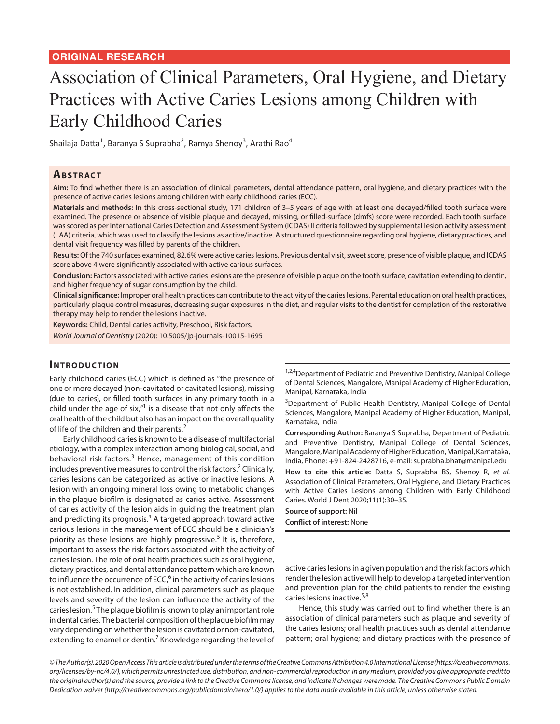# Association of Clinical Parameters, Oral Hygiene, and Dietary Practices with Active Caries Lesions among Children with Early Childhood Caries

Shailaja Datta<sup>1</sup>, Baranya S Suprabha<sup>2</sup>, Ramya Shenoy<sup>3</sup>, Arathi Rao<sup>4</sup>

# **ABSTRACT**

**Aim:** To find whether there is an association of clinical parameters, dental attendance pattern, oral hygiene, and dietary practices with the presence of active caries lesions among children with early childhood caries (ECC).

**Materials and methods:** In this cross-sectional study, 171 children of 3–5 years of age with at least one decayed/filled tooth surface were examined. The presence or absence of visible plaque and decayed, missing, or filled-surface (dmfs) score were recorded. Each tooth surface was scored as per International Caries Detection and Assessment System (ICDAS) II criteria followed by supplemental lesion activity assessment (LAA) criteria, which was used to classify the lesions as active/inactive. A structured questionnaire regarding oral hygiene, dietary practices, and dental visit frequency was filled by parents of the children.

**Results:** Of the 740 surfaces examined, 82.6% were active caries lesions. Previous dental visit, sweet score, presence of visible plaque, and ICDAS score above 4 were significantly associated with active carious surfaces.

**Conclusion:** Factors associated with active caries lesions are the presence of visible plaque on the tooth surface, cavitation extending to dentin, and higher frequency of sugar consumption by the child.

**Clinical significance:** Improper oral health practices can contribute to the activity of the caries lesions. Parental education on oral health practices, particularly plaque control measures, decreasing sugar exposures in the diet, and regular visits to the dentist for completion of the restorative therapy may help to render the lesions inactive.

**Keywords:** Child, Dental caries activity, Preschool, Risk factors.

*World Journal of Dentistry* (2020): 10.5005/jp-journals-10015-1695

### **INTRODUCTION**

Early childhood caries (ECC) which is defined as "the presence of one or more decayed (non-cavitated or cavitated lesions), missing (due to caries), or filled tooth surfaces in any primary tooth in a child under the age of six, $n<sup>1</sup>$  is a disease that not only affects the oral health of the child but also has an impact on the overall quality of life of the children and their parents.<sup>2</sup>

Early childhood caries is known to be a disease of multifactorial etiology, with a complex interaction among biological, social, and behavioral risk factors.<sup>3</sup> Hence, management of this condition includes preventive measures to control the risk factors.<sup>2</sup> Clinically, caries lesions can be categorized as active or inactive lesions. A lesion with an ongoing mineral loss owing to metabolic changes in the plaque biofilm is designated as caries active. Assessment of caries activity of the lesion aids in guiding the treatment plan and predicting its prognosis.<sup>4</sup> A targeted approach toward active carious lesions in the management of ECC should be a clinician's priority as these lesions are highly progressive.<sup>5</sup> It is, therefore, important to assess the risk factors associated with the activity of caries lesion. The role of oral health practices such as oral hygiene, dietary practices, and dental attendance pattern which are known to influence the occurrence of ECC,<sup>6</sup> in the activity of caries lesions is not established. In addition, clinical parameters such as plaque levels and severity of the lesion can influence the activity of the caries lesion.<sup>5</sup> The plaque biofilm is known to play an important role in dental caries. The bacterial composition of the plaque biofilm may vary depending on whether the lesion is cavitated or non-cavitated, extending to enamel or dentin.<sup>7</sup> Knowledge regarding the level of

<sup>1,2,4</sup>Department of Pediatric and Preventive Dentistry, Manipal College of Dental Sciences, Mangalore, Manipal Academy of Higher Education, Manipal, Karnataka, India

<sup>3</sup>Department of Public Health Dentistry, Manipal College of Dental Sciences, Mangalore, Manipal Academy of Higher Education, Manipal, Karnataka, India

**Corresponding Author:** Baranya S Suprabha, Department of Pediatric and Preventive Dentistry, Manipal College of Dental Sciences, Mangalore, Manipal Academy of Higher Education, Manipal, Karnataka, India, Phone: +91-824-2428716, e-mail: suprabha.bhat@manipal.edu

**How to cite this article:** Datta S, Suprabha BS, Shenoy R, *et al.* Association of Clinical Parameters, Oral Hygiene, and Dietary Practices with Active Caries Lesions among Children with Early Childhood Caries. World J Dent 2020;11(1):30–35.

**Source of support:** Nil **Conflict of interest:** None

active caries lesions in a given population and the risk factors which render the lesion active will help to develop a targeted intervention and prevention plan for the child patients to render the existing caries lesions inactive.<sup>5,8</sup>

Hence, this study was carried out to find whether there is an association of clinical parameters such as plaque and severity of the caries lesions; oral health practices such as dental attendance pattern; oral hygiene; and dietary practices with the presence of

*<sup>©</sup> The Author(s). 2020 Open Access This article is distributed under the terms of the Creative Commons Attribution 4.0 International License (https://creativecommons. org/licenses/by-nc/4.0/), which permits unrestricted use, distribution, and non-commercial reproduction in any medium, provided you give appropriate credit to the original author(s) and the source, provide a link to the Creative Commons license, and indicate if changes were made. The Creative Commons Public Domain Dedication waiver (http://creativecommons.org/publicdomain/zero/1.0/) applies to the data made available in this article, unless otherwise stated.*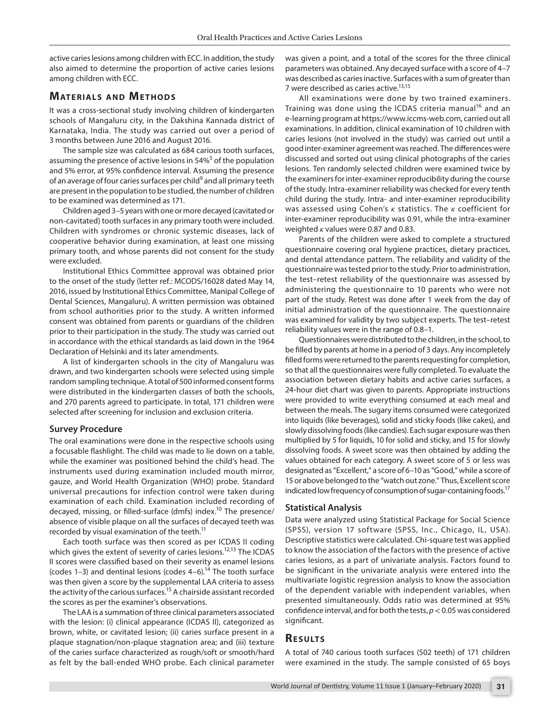active caries lesions among children with ECC. In addition, the study also aimed to determine the proportion of active caries lesions among children with ECC.

#### **MATERIALS AND METHODS**

It was a cross-sectional study involving children of kindergarten schools of Mangaluru city, in the Dakshina Kannada district of Karnataka, India. The study was carried out over a period of 3 months between June 2016 and August 2016.

The sample size was calculated as 684 carious tooth surfaces, assuming the presence of active lesions in 54%<sup>5</sup> of the population and 5% error, at 95% confidence interval. Assuming the presence of an average of four caries surfaces per child<sup>9</sup> and all primary teeth are present in the population to be studied, the number of children to be examined was determined as 171.

Children aged 3–5 years with one or more decayed (cavitated or non-cavitated) tooth surfaces in any primary tooth were included. Children with syndromes or chronic systemic diseases, lack of cooperative behavior during examination, at least one missing primary tooth, and whose parents did not consent for the study were excluded.

Institutional Ethics Committee approval was obtained prior to the onset of the study (letter ref.: MCODS/16028 dated May 14, 2016, issued by Institutional Ethics Committee, Manipal College of Dental Sciences, Mangaluru). A written permission was obtained from school authorities prior to the study. A written informed consent was obtained from parents or guardians of the children prior to their participation in the study. The study was carried out in accordance with the ethical standards as laid down in the 1964 Declaration of Helsinki and its later amendments.

A list of kindergarten schools in the city of Mangaluru was drawn, and two kindergarten schools were selected using simple random sampling technique. A total of 500 informed consent forms were distributed in the kindergarten classes of both the schools, and 270 parents agreed to participate. In total, 171 children were selected after screening for inclusion and exclusion criteria.

#### **Survey Procedure**

The oral examinations were done in the respective schools using a focusable flashlight. The child was made to lie down on a table, while the examiner was positioned behind the child's head. The instruments used during examination included mouth mirror, gauze, and World Health Organization (WHO) probe. Standard universal precautions for infection control were taken during examination of each child. Examination included recording of decayed, missing, or filled-surface (dmfs) index.<sup>10</sup> The presence/ absence of visible plaque on all the surfaces of decayed teeth was recorded by visual examination of the teeth.<sup>11</sup>

Each tooth surface was then scored as per ICDAS II coding which gives the extent of severity of caries lesions.<sup>12,13</sup> The ICDAS II scores were classified based on their severity as enamel lesions (codes 1–3) and dentinal lesions (codes  $4-6$ ).<sup>14</sup> The tooth surface was then given a score by the supplemental LAA criteria to assess the activity of the carious surfaces.<sup>15</sup> A chairside assistant recorded the scores as per the examiner's observations.

The LAA is a summation of three clinical parameters associated with the lesion: (i) clinical appearance (ICDAS II), categorized as brown, white, or cavitated lesion; (ii) caries surface present in a plaque stagnation/non-plaque stagnation area; and (iii) texture of the caries surface characterized as rough/soft or smooth/hard as felt by the ball-ended WHO probe. Each clinical parameter was given a point, and a total of the scores for the three clinical parameters was obtained. Any decayed surface with a score of 4–7 was described as caries inactive. Surfaces with a sum of greater than 7 were described as caries active.<sup>13,15</sup>

All examinations were done by two trained examiners. Training was done using the ICDAS criteria manual<sup>16</sup> and an e-learning program at https://www.iccms-web.com, carried out all examinations. In addition, clinical examination of 10 children with caries lesions (not involved in the study) was carried out until a good inter-examiner agreement was reached. The differences were discussed and sorted out using clinical photographs of the caries lesions. Ten randomly selected children were examined twice by the examiners for inter-examiner reproducibility during the course of the study. Intra-examiner reliability was checked for every tenth child during the study. Intra- and inter-examiner reproducibility was assessed using Cohen's *κ* statistics. The *κ* coefficient for inter-examiner reproducibility was 0.91, while the intra-examiner weighted *κ* values were 0.87 and 0.83.

Parents of the children were asked to complete a structured questionnaire covering oral hygiene practices, dietary practices, and dental attendance pattern. The reliability and validity of the questionnaire was tested prior to the study. Prior to administration, the test–retest reliability of the questionnaire was assessed by administering the questionnaire to 10 parents who were not part of the study. Retest was done after 1 week from the day of initial administration of the questionnaire. The questionnaire was examined for validity by two subject experts. The test–retest reliability values were in the range of 0.8–1.

Questionnaires were distributed to the children, in the school, to be filled by parents at home in a period of 3 days. Any incompletely filled forms were returned to the parents requesting for completion, so that all the questionnaires were fully completed. To evaluate the association between dietary habits and active caries surfaces, a 24-hour diet chart was given to parents. Appropriate instructions were provided to write everything consumed at each meal and between the meals. The sugary items consumed were categorized into liquids (like beverages), solid and sticky foods (like cakes), and slowly dissolving foods (like candies). Each sugar exposure was then multiplied by 5 for liquids, 10 for solid and sticky, and 15 for slowly dissolving foods. A sweet score was then obtained by adding the values obtained for each category. A sweet score of 5 or less was designated as "Excellent," a score of 6–10 as "Good," while a score of 15 or above belonged to the "watch out zone." Thus, Excellent score indicated low frequency of consumption of sugar-containing foods.<sup>17</sup>

#### **Statistical Analysis**

Data were analyzed using Statistical Package for Social Science (SPSS), version 17 software (SPSS, Inc., Chicago, IL, USA). Descriptive statistics were calculated. Chi-square test was applied to know the association of the factors with the presence of active caries lesions, as a part of univariate analysis. Factors found to be significant in the univariate analysis were entered into the multivariate logistic regression analysis to know the association of the dependent variable with independent variables, when presented simultaneously. Odds ratio was determined at 95% confidence interval, and for both the tests, *p*< 0.05 was considered significant.

#### **Re s u lts**

A total of 740 carious tooth surfaces (502 teeth) of 171 children were examined in the study. The sample consisted of 65 boys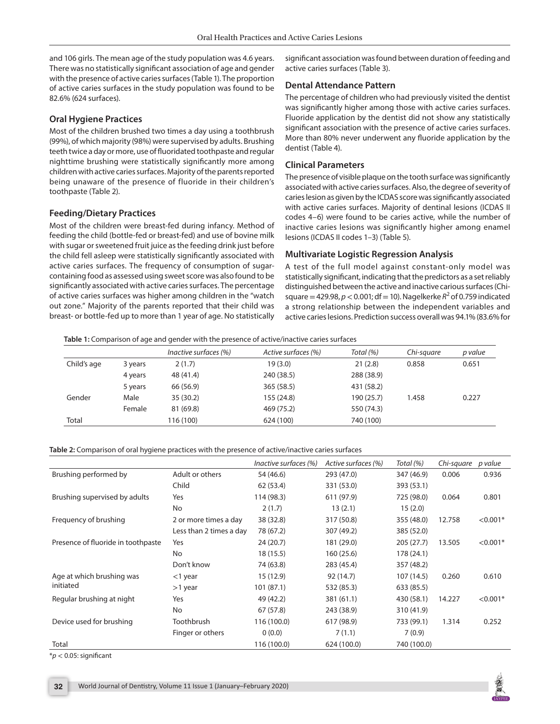and 106 girls. The mean age of the study population was 4.6 years. There was no statistically significant association of age and gender with the presence of active caries surfaces (Table 1). The proportion of active caries surfaces in the study population was found to be 82.6% (624 surfaces).

#### **Oral Hygiene Practices**

Most of the children brushed two times a day using a toothbrush (99%), of which majority (98%) were supervised by adults. Brushing teeth twice a day or more, use of fluoridated toothpaste and regular nighttime brushing were statistically significantly more among children with active caries surfaces. Majority of the parents reported being unaware of the presence of fluoride in their children's toothpaste (Table 2).

## **Feeding/Dietary Practices**

Most of the children were breast-fed during infancy. Method of feeding the child (bottle-fed or breast-fed) and use of bovine milk with sugar or sweetened fruit juice as the feeding drink just before the child fell asleep were statistically significantly associated with active caries surfaces. The frequency of consumption of sugarcontaining food as assessed using sweet score was also found to be significantly associated with active caries surfaces. The percentage of active caries surfaces was higher among children in the "watch out zone." Majority of the parents reported that their child was breast- or bottle-fed up to more than 1 year of age. No statistically significant association was found between duration of feeding and active caries surfaces (Table 3).

# **Dental Attendance Pattern**

The percentage of children who had previously visited the dentist was significantly higher among those with active caries surfaces. Fluoride application by the dentist did not show any statistically significant association with the presence of active caries surfaces. More than 80% never underwent any fluoride application by the dentist (Table 4).

### **Clinical Parameters**

The presence of visible plaque on the tooth surface was significantly associated with active caries surfaces. Also, the degree of severity of caries lesion as given by the ICDAS score was significantly associated with active caries surfaces. Majority of dentinal lesions (ICDAS II codes 4–6) were found to be caries active, while the number of inactive caries lesions was significantly higher among enamel lesions (ICDAS II codes 1–3) (Table 5).

#### **Multivariate Logistic Regression Analysis**

A test of the full model against constant-only model was statistically significant, indicating that the predictors as a set reliably distinguished between the active and inactive carious surfaces (Chi $square = 429.98$ ,  $p < 0.001$ ; df = 10). Nagelkerke  $R^2$  of 0.759 indicated a strong relationship between the independent variables and active caries lesions. Prediction success overall was 94.1% (83.6% for

**Table 1:** Comparison of age and gender with the presence of active/inactive caries surfaces

|             |         | Inactive surfaces (%) | Active surfaces (%) | Total (%)  | Chi-sauare | p value |
|-------------|---------|-----------------------|---------------------|------------|------------|---------|
| Child's age | 3 years | 2(1.7)                | 19 (3.0)            | 21(2.8)    | 0.858      | 0.651   |
|             | 4 years | 48 (41.4)             | 240 (38.5)          | 288 (38.9) |            |         |
|             | 5 years | 66 (56.9)             | 365 (58.5)          | 431 (58.2) |            |         |
| Gender      | Male    | 35(30.2)              | 155 (24.8)          | 190 (25.7) | 1.458      | 0.227   |
|             | Female  | 81 (69.8)             | 469 (75.2)          | 550 (74.3) |            |         |
| Total       |         | 116 (100)             | 624 (100)           | 740 (100)  |            |         |

#### **Table 2:** Comparison of oral hygiene practices with the presence of active/inactive caries surfaces

|                                    |                         | Inactive surfaces (%) | Active surfaces (%) | Total (%)   | Chi-square | p value    |
|------------------------------------|-------------------------|-----------------------|---------------------|-------------|------------|------------|
| Brushing performed by              | Adult or others         | 54 (46.6)             | 293 (47.0)          | 347 (46.9)  | 0.006      | 0.936      |
|                                    | Child                   | 62 (53.4)             | 331 (53.0)          | 393 (53.1)  |            |            |
| Brushing supervised by adults      | Yes                     | 114 (98.3)            | 611 (97.9)          | 725 (98.0)  | 0.064      | 0.801      |
|                                    | <b>No</b>               | 2(1.7)                | 13(2.1)             | 15(2.0)     |            |            |
| Frequency of brushing              | 2 or more times a day   | 38 (32.8)             | 317 (50.8)          | 355 (48.0)  | 12.758     | $< 0.001*$ |
|                                    | Less than 2 times a day | 78 (67.2)             | 307 (49.2)          | 385 (52.0)  |            |            |
| Presence of fluoride in toothpaste | Yes                     | 24(20.7)              | 181 (29.0)          | 205(27.7)   | 13.505     | $< 0.001*$ |
|                                    | No                      | 18(15.5)              | 160(25.6)           | 178 (24.1)  |            |            |
|                                    | Don't know              | 74 (63.8)             | 283 (45.4)          | 357 (48.2)  |            |            |
| Age at which brushing was          | $<$ 1 year              | 15 (12.9)             | 92 (14.7)           | 107 (14.5)  | 0.260      | 0.610      |
| initiated                          | $>1$ year               | 101(87.1)             | 532 (85.3)          | 633 (85.5)  |            |            |
| Regular brushing at night          | Yes                     | 49 (42.2)             | 381 (61.1)          | 430 (58.1)  | 14.227     | $< 0.001*$ |
|                                    | <b>No</b>               | 67 (57.8)             | 243 (38.9)          | 310 (41.9)  |            |            |
| Device used for brushing           | Toothbrush              | 116 (100.0)           | 617 (98.9)          | 733 (99.1)  | 1.314      | 0.252      |
|                                    | Finger or others        | 0(0.0)                | 7(1.1)              | 7(0.9)      |            |            |
| Total                              |                         | 116 (100.0)           | 624 (100.0)         | 740 (100.0) |            |            |

\**p* < 0.05: significant

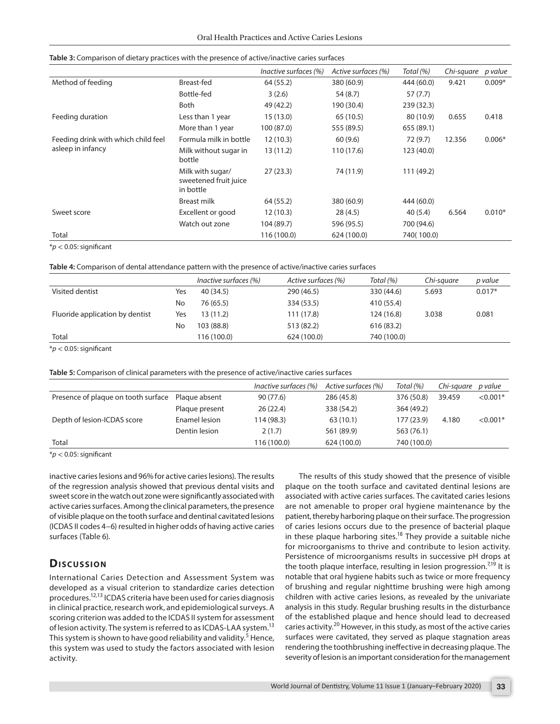|                                     |                                                        | Inactive surfaces (%) | Active surfaces (%) | Total (%)  | Chi-square | p value  |
|-------------------------------------|--------------------------------------------------------|-----------------------|---------------------|------------|------------|----------|
| Method of feeding                   | Breast-fed                                             | 64 (55.2)             | 380 (60.9)          | 444 (60.0) | 9.421      | $0.009*$ |
|                                     | Bottle-fed                                             | 3(2.6)                | 54 (8.7)            | 57(7.7)    |            |          |
|                                     | <b>Both</b>                                            | 49 (42.2)             | 190 (30.4)          | 239 (32.3) |            |          |
| Feeding duration                    | Less than 1 year                                       | 15(13.0)              | 65 (10.5)           | 80 (10.9)  | 0.655      | 0.418    |
|                                     | More than 1 year                                       | 100 (87.0)            | 555 (89.5)          | 655 (89.1) |            |          |
| Feeding drink with which child feel | Formula milk in bottle                                 | 12(10.3)              | 60(9.6)             | 72 (9.7)   | 12.356     | $0.006*$ |
| asleep in infancy                   | Milk without sugar in<br>bottle                        | 13 (11.2)             | 110 (17.6)          | 123 (40.0) |            |          |
|                                     | Milk with sugar/<br>sweetened fruit juice<br>in bottle | 27(23.3)              | 74 (11.9)           | 111 (49.2) |            |          |
|                                     | Breast milk                                            | 64 (55.2)             | 380 (60.9)          | 444 (60.0) |            |          |
| Sweet score                         | Excellent or good                                      | 12(10.3)              | 28(4.5)             | 40(5.4)    | 6.564      | $0.010*$ |
|                                     | Watch out zone                                         | 104 (89.7)            | 596 (95.5)          | 700 (94.6) |            |          |
| Total                               |                                                        | 116 (100.0)           | 624 (100.0)         | 740(100.0) |            |          |

#### **Table 3:** Comparison of dietary practices with the presence of active/inactive caries surfaces

\**p* < 0.05: significant

**Table 4:** Comparison of dental attendance pattern with the presence of active/inactive caries surfaces

|                                 |     | Inactive surfaces (%) | Active surfaces (%) | Total (%)   | Chi-sauare | p value  |
|---------------------------------|-----|-----------------------|---------------------|-------------|------------|----------|
| Visited dentist                 | Yes | 40 (34.5)             | 290 (46.5)          | 330 (44.6)  | 5.693      | $0.017*$ |
|                                 | No  | 76 (65.5)             | 334 (53.5)          | 410 (55.4)  |            |          |
| Fluoride application by dentist | Yes | 13 (11.2)             | 111 (17.8)          | 124 (16.8)  | 3.038      | 0.081    |
|                                 | No  | 103 (88.8)            | 513 (82.2)          | 616 (83.2)  |            |          |
| Total                           |     | 116 (100.0)           | 624 (100.0)         | 740 (100.0) |            |          |

\**p* < 0.05: significant

**Table 5:** Comparison of clinical parameters with the presence of active/inactive caries surfaces

|                                     |                | Inactive surfaces (%) | Active surfaces (%) | Total (%)   | Chi-sauare | p value    |
|-------------------------------------|----------------|-----------------------|---------------------|-------------|------------|------------|
| Presence of plaque on tooth surface | Plaque absent  | 90 (77.6)             | 286 (45.8)          | 376 (50.8)  | 39.459     | $< 0.001*$ |
|                                     | Plaque present | 26(22.4)              | 338 (54.2)          | 364 (49.2)  |            |            |
| Depth of lesion-ICDAS score         | Enamel lesion  | 114 (98.3)            | 63(10.1)            | 177 (23.9)  | 4.180      | $< 0.001*$ |
|                                     | Dentin lesion  | 2(1.7)                | 561 (89.9)          | 563 (76.1)  |            |            |
| Total                               |                | 116 (100.0)           | 624 (100.0)         | 740 (100.0) |            |            |

\**p* < 0.05: significant

inactive caries lesions and 96% for active caries lesions). The results of the regression analysis showed that previous dental visits and sweet score in the watch out zone were significantly associated with active caries surfaces. Among the clinical parameters, the presence of visible plaque on the tooth surface and dentinal cavitated lesions (ICDAS II codes 4–6) resulted in higher odds of having active caries surfaces (Table 6).

# **Dis c u s sio n**

International Caries Detection and Assessment System was developed as a visual criterion to standardize caries detection procedures.12,13 ICDAS criteria have been used for caries diagnosis in clinical practice, research work, and epidemiological surveys. A scoring criterion was added to the ICDAS II system for assessment of lesion activity. The system is referred to as ICDAS-LAA system.<sup>13</sup> This system is shown to have good reliability and validity.<sup>5</sup> Hence, this system was used to study the factors associated with lesion activity.

The results of this study showed that the presence of visible plaque on the tooth surface and cavitated dentinal lesions are associated with active caries surfaces. The cavitated caries lesions are not amenable to proper oral hygiene maintenance by the patient, thereby harboring plaque on their surface. The progression of caries lesions occurs due to the presence of bacterial plaque in these plaque harboring sites.<sup>18</sup> They provide a suitable niche for microorganisms to thrive and contribute to lesion activity. Persistence of microorganisms results in successive pH drops at the tooth plaque interface, resulting in lesion progression. $7^{19}$  It is notable that oral hygiene habits such as twice or more frequency of brushing and regular nighttime brushing were high among children with active caries lesions, as revealed by the univariate analysis in this study. Regular brushing results in the disturbance of the established plaque and hence should lead to decreased caries activity.<sup>20</sup> However, in this study, as most of the active caries surfaces were cavitated, they served as plaque stagnation areas rendering the toothbrushing ineffective in decreasing plaque. The severity of lesion is an important consideration for the management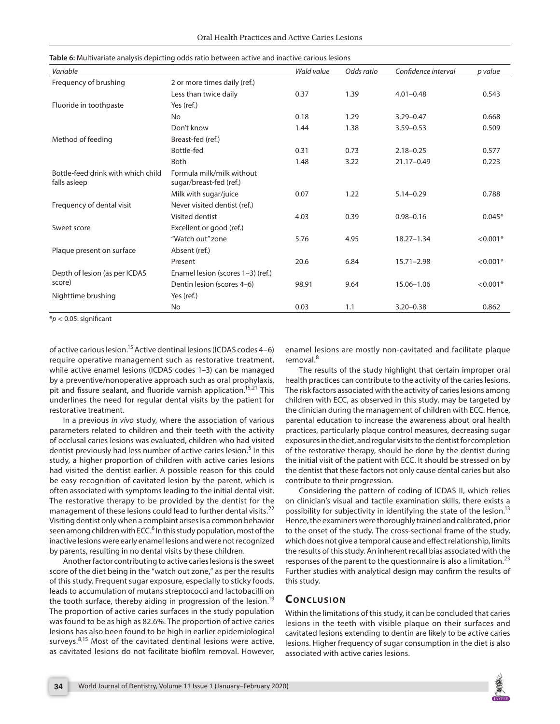| Table 6: Multivariate analysis depicting odds ratio between active and inactive carious lesions |  |
|-------------------------------------------------------------------------------------------------|--|
|-------------------------------------------------------------------------------------------------|--|

| Variable                                           |                                                      | Wald value | Odds ratio | Confidence interval | p value    |
|----------------------------------------------------|------------------------------------------------------|------------|------------|---------------------|------------|
| Frequency of brushing                              | 2 or more times daily (ref.)                         |            |            |                     |            |
|                                                    | Less than twice daily                                | 0.37       | 1.39       | $4.01 - 0.48$       | 0.543      |
| Fluoride in toothpaste                             | Yes (ref.)                                           |            |            |                     |            |
|                                                    | <b>No</b>                                            | 0.18       | 1.29       | $3.29 - 0.47$       | 0.668      |
|                                                    | Don't know                                           | 1.44       | 1.38       | $3.59 - 0.53$       | 0.509      |
| Method of feeding                                  | Breast-fed (ref.)                                    |            |            |                     |            |
|                                                    | Bottle-fed                                           | 0.31       | 0.73       | $2.18 - 0.25$       | 0.577      |
|                                                    | <b>Both</b>                                          | 1.48       | 3.22       | 21.17-0.49          | 0.223      |
| Bottle-feed drink with which child<br>falls asleep | Formula milk/milk without<br>sugar/breast-fed (ref.) |            |            |                     |            |
|                                                    | Milk with sugar/juice                                | 0.07       | 1.22       | $5.14 - 0.29$       | 0.788      |
| Frequency of dental visit                          | Never visited dentist (ref.)                         |            |            |                     |            |
|                                                    | Visited dentist                                      | 4.03       | 0.39       | $0.98 - 0.16$       | $0.045*$   |
| Sweet score                                        | Excellent or good (ref.)                             |            |            |                     |            |
|                                                    | "Watch out" zone                                     | 5.76       | 4.95       | $18.27 - 1.34$      | $< 0.001*$ |
| Plaque present on surface                          | Absent (ref.)                                        |            |            |                     |            |
|                                                    | Present                                              | 20.6       | 6.84       | $15.71 - 2.98$      | $< 0.001*$ |
| Depth of lesion (as per ICDAS                      | Enamel lesion (scores 1-3) (ref.)                    |            |            |                     |            |
| score)                                             | Dentin lesion (scores 4-6)                           | 98.91      | 9.64       | 15.06-1.06          | $< 0.001*$ |
| Nighttime brushing                                 | Yes (ref.)                                           |            |            |                     |            |
|                                                    | No                                                   | 0.03       | 1.1        | $3.20 - 0.38$       | 0.862      |

\**p* < 0.05: significant

of active carious lesion.<sup>15</sup> Active dentinal lesions (ICDAS codes  $4-6$ ) require operative management such as restorative treatment, while active enamel lesions (ICDAS codes 1–3) can be managed by a preventive/nonoperative approach such as oral prophylaxis, pit and fissure sealant, and fluoride varnish application.<sup>15,21</sup> This underlines the need for regular dental visits by the patient for restorative treatment.

In a previous *in vivo* study, where the association of various parameters related to children and their teeth with the activity of occlusal caries lesions was evaluated, children who had visited dentist previously had less number of active caries lesion.<sup>5</sup> In this study, a higher proportion of children with active caries lesions had visited the dentist earlier. A possible reason for this could be easy recognition of cavitated lesion by the parent, which is often associated with symptoms leading to the initial dental visit. The restorative therapy to be provided by the dentist for the management of these lesions could lead to further dental visits.<sup>22</sup> Visiting dentist only when a complaint arises is a common behavior seen among children with ECC.<sup>6</sup> In this study population, most of the inactive lesions were early enamel lesions and were not recognized by parents, resulting in no dental visits by these children.

Another factor contributing to active caries lesions is the sweet score of the diet being in the "watch out zone," as per the results of this study. Frequent sugar exposure, especially to sticky foods, leads to accumulation of mutans streptococci and lactobacilli on the tooth surface, thereby aiding in progression of the lesion.<sup>19</sup> The proportion of active caries surfaces in the study population was found to be as high as 82.6%. The proportion of active caries lesions has also been found to be high in earlier epidemiological surveys.<sup>8,15</sup> Most of the cavitated dentinal lesions were active, as cavitated lesions do not facilitate biofilm removal. However,

enamel lesions are mostly non-cavitated and facilitate plaque removal.<sup>8</sup>

The results of the study highlight that certain improper oral health practices can contribute to the activity of the caries lesions. The risk factors associated with the activity of caries lesions among children with ECC, as observed in this study, may be targeted by the clinician during the management of children with ECC. Hence, parental education to increase the awareness about oral health practices, particularly plaque control measures, decreasing sugar exposures in the diet, and regular visits to the dentist for completion of the restorative therapy, should be done by the dentist during the initial visit of the patient with ECC. It should be stressed on by the dentist that these factors not only cause dental caries but also contribute to their progression.

Considering the pattern of coding of ICDAS II, which relies on clinician's visual and tactile examination skills, there exists a possibility for subjectivity in identifying the state of the lesion.<sup>13</sup> Hence, the examiners were thoroughly trained and calibrated, prior to the onset of the study. The cross-sectional frame of the study, which does not give a temporal cause and effect relationship, limits the results of this study. An inherent recall bias associated with the responses of the parent to the questionnaire is also a limitation.<sup>23</sup> Further studies with analytical design may confirm the results of this study.

# **CONCLUSION**

Within the limitations of this study, it can be concluded that caries lesions in the teeth with visible plaque on their surfaces and cavitated lesions extending to dentin are likely to be active caries lesions. Higher frequency of sugar consumption in the diet is also associated with active caries lesions.